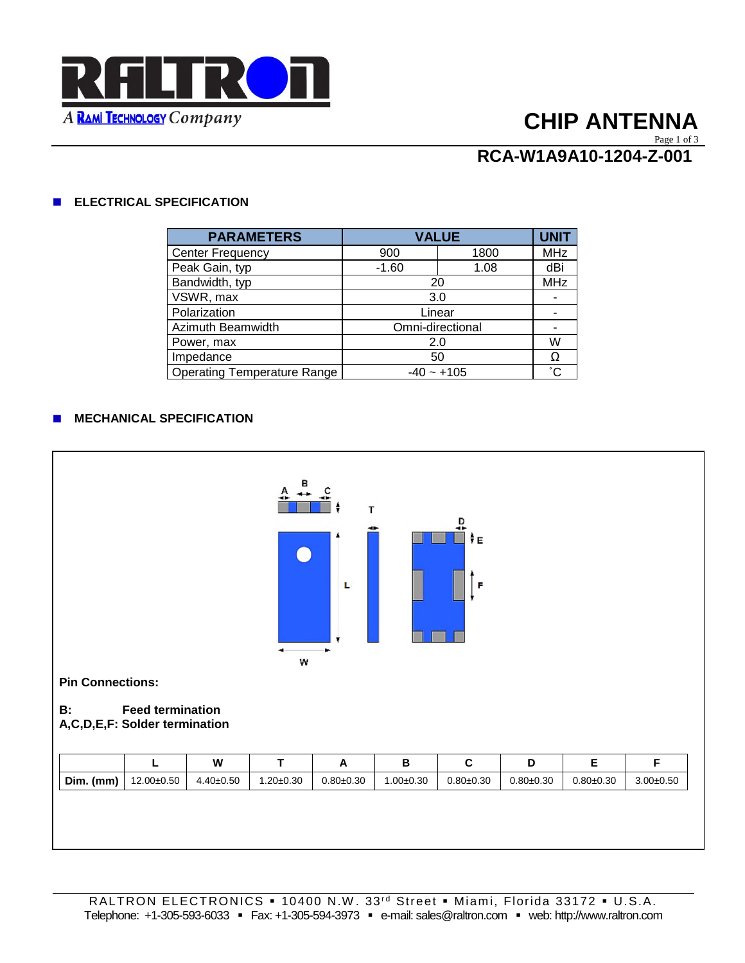

# **CHIP ANTENNA**

#### Page 1 of 3

# **RCA-W1A9A10-1204-Z-001**

### **ELECTRICAL SPECIFICATION**

| <b>PARAMETERS</b>                  | <b>VALUE</b>     |      | <b>UNIT</b>  |
|------------------------------------|------------------|------|--------------|
| <b>Center Frequency</b>            | 900              | 1800 | <b>MHz</b>   |
| Peak Gain, typ                     | $-1.60$          | 1.08 | dBi          |
| Bandwidth, typ                     | 20               |      | <b>MHz</b>   |
| VSWR, max                          | 3.0              |      |              |
| Polarization                       | Linear           |      |              |
| Azimuth Beamwidth                  | Omni-directional |      |              |
| Power, max                         | 2.0              |      | W            |
| Impedance                          | 50               |      | Ω            |
| <b>Operating Temperature Range</b> | $-40 - +105$     |      | $^{\circ}$ C |

### **MECHANICAL SPECIFICATION**

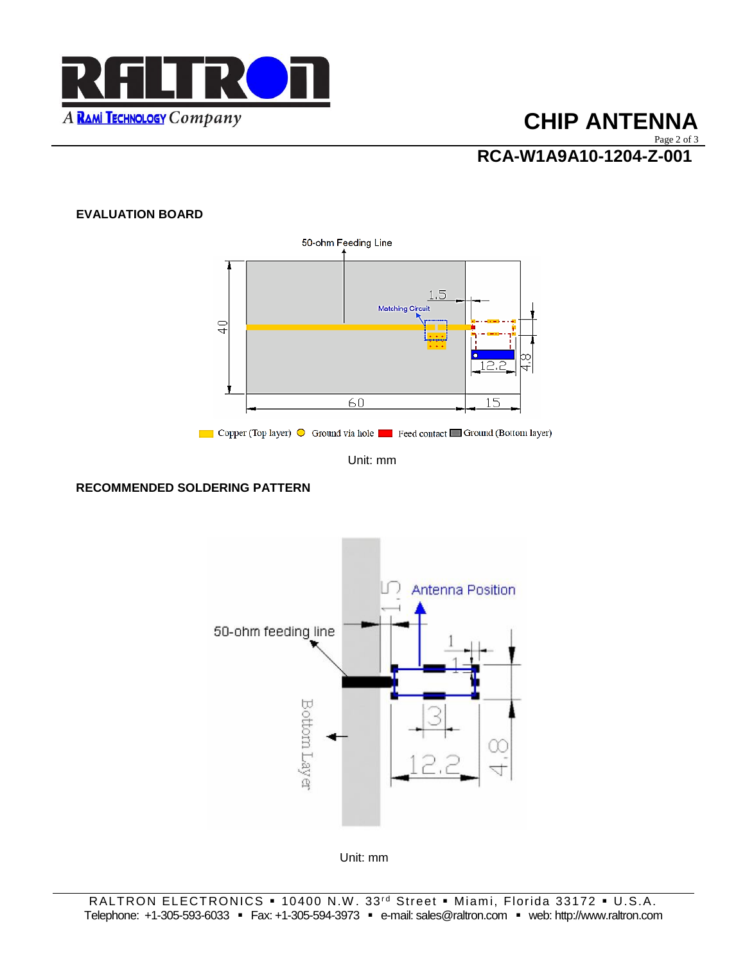

# **CHIP ANTENNA**

Page 2 of 3

**RCA-W1A9A10-1204-Z-001**

## **EVALUATION BOARD**



Unit: mm

## **RECOMMENDED SOLDERING PATTERN**